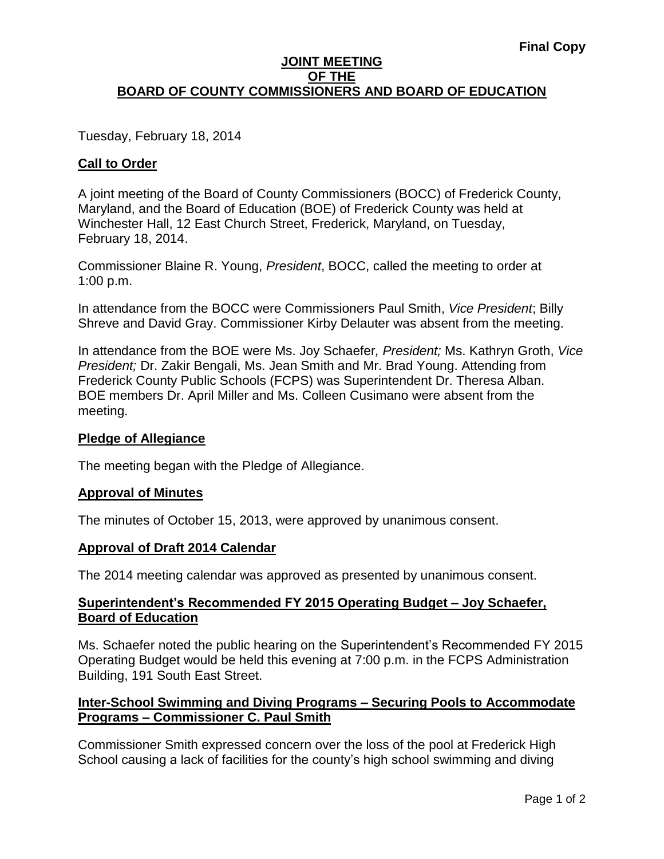## **JOINT MEETING OF THE BOARD OF COUNTY COMMISSIONERS AND BOARD OF EDUCATION**

Tuesday, February 18, 2014

# **Call to Order**

A joint meeting of the Board of County Commissioners (BOCC) of Frederick County, Maryland, and the Board of Education (BOE) of Frederick County was held at Winchester Hall, 12 East Church Street, Frederick, Maryland, on Tuesday, February 18, 2014.

Commissioner Blaine R. Young, *President*, BOCC, called the meeting to order at 1:00 p.m.

In attendance from the BOCC were Commissioners Paul Smith, *Vice President*; Billy Shreve and David Gray. Commissioner Kirby Delauter was absent from the meeting.

In attendance from the BOE were Ms. Joy Schaefer*, President;* Ms. Kathryn Groth, *Vice President;* Dr. Zakir Bengali, Ms. Jean Smith and Mr. Brad Young. Attending from Frederick County Public Schools (FCPS) was Superintendent Dr. Theresa Alban. BOE members Dr. April Miller and Ms. Colleen Cusimano were absent from the meeting.

## **Pledge of Allegiance**

The meeting began with the Pledge of Allegiance.

## **Approval of Minutes**

The minutes of October 15, 2013, were approved by unanimous consent.

## **Approval of Draft 2014 Calendar**

The 2014 meeting calendar was approved as presented by unanimous consent.

## **Superintendent's Recommended FY 2015 Operating Budget – Joy Schaefer, Board of Education**

Ms. Schaefer noted the public hearing on the Superintendent's Recommended FY 2015 Operating Budget would be held this evening at 7:00 p.m. in the FCPS Administration Building, 191 South East Street.

## **Inter-School Swimming and Diving Programs – Securing Pools to Accommodate Programs – Commissioner C. Paul Smith**

Commissioner Smith expressed concern over the loss of the pool at Frederick High School causing a lack of facilities for the county's high school swimming and diving